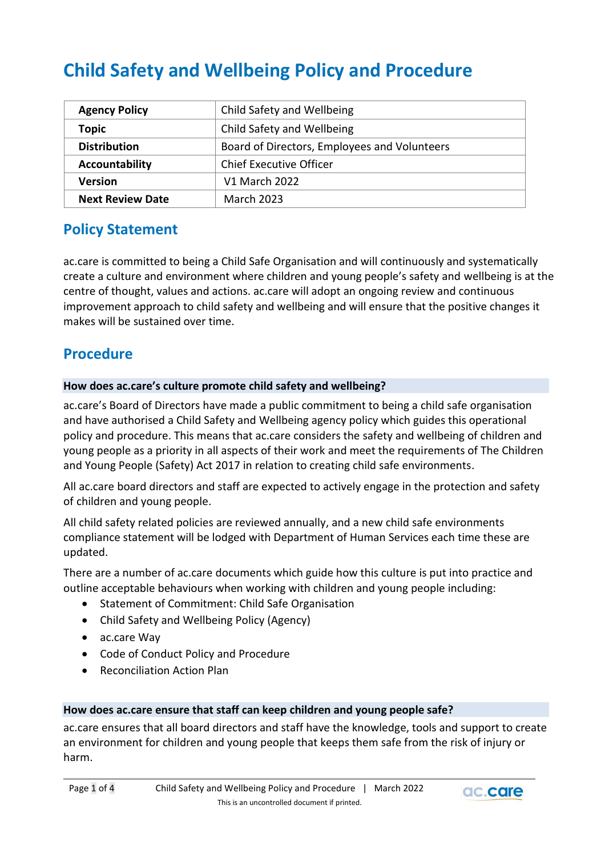# **Child Safety and Wellbeing Policy and Procedure**

| <b>Agency Policy</b>    | Child Safety and Wellbeing                   |
|-------------------------|----------------------------------------------|
| <b>Topic</b>            | Child Safety and Wellbeing                   |
| <b>Distribution</b>     | Board of Directors, Employees and Volunteers |
| Accountability          | <b>Chief Executive Officer</b>               |
| <b>Version</b>          | V1 March 2022                                |
| <b>Next Review Date</b> | <b>March 2023</b>                            |

# **Policy Statement**

ac.care is committed to being a Child Safe Organisation and will continuously and systematically create a culture and environment where children and young people's safety and wellbeing is at the centre of thought, values and actions. ac.care will adopt an ongoing review and continuous improvement approach to child safety and wellbeing and will ensure that the positive changes it makes will be sustained over time.

# **Procedure**

#### **How does ac.care's culture promote child safety and wellbeing?**

ac.care's Board of Directors have made a public commitment to being a child safe organisation and have authorised a Child Safety and Wellbeing agency policy which guides this operational policy and procedure. This means that ac.care considers the safety and wellbeing of children and young people as a priority in all aspects of their work and meet the requirements of The Children and Young People (Safety) Act 2017 in relation to creating child safe environments.

All ac.care board directors and staff are expected to actively engage in the protection and safety of children and young people.

All child safety related policies are reviewed annually, and a new child safe environments compliance statement will be lodged with Department of Human Services each time these are updated.

There are a number of ac.care documents which guide how this culture is put into practice and outline acceptable behaviours when working with children and young people including:

- Statement of Commitment: Child Safe Organisation
- Child Safety and Wellbeing Policy (Agency)
- ac.care Way
- Code of Conduct Policy and Procedure
- Reconciliation Action Plan

#### **How does ac.care ensure that staff can keep children and young people safe?**

ac.care ensures that all board directors and staff have the knowledge, tools and support to create an environment for children and young people that keeps them safe from the risk of injury or harm.

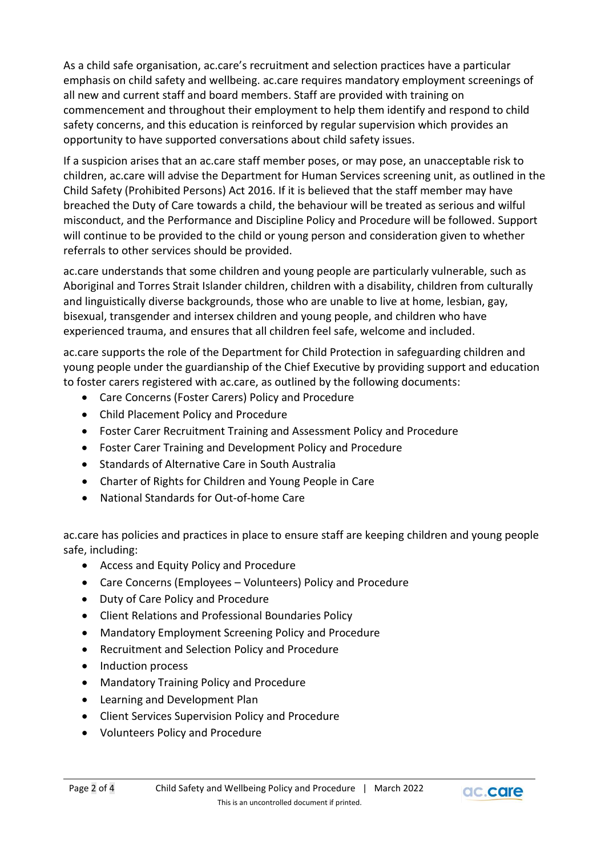As a child safe organisation, ac.care's recruitment and selection practices have a particular emphasis on child safety and wellbeing. ac.care requires mandatory employment screenings of all new and current staff and board members. Staff are provided with training on commencement and throughout their employment to help them identify and respond to child safety concerns, and this education is reinforced by regular supervision which provides an opportunity to have supported conversations about child safety issues.

If a suspicion arises that an ac.care staff member poses, or may pose, an unacceptable risk to children, ac.care will advise the Department for Human Services screening unit, as outlined in the Child Safety (Prohibited Persons) Act 2016. If it is believed that the staff member may have breached the Duty of Care towards a child, the behaviour will be treated as serious and wilful misconduct, and the Performance and Discipline Policy and Procedure will be followed. Support will continue to be provided to the child or young person and consideration given to whether referrals to other services should be provided.

ac.care understands that some children and young people are particularly vulnerable, such as Aboriginal and Torres Strait Islander children, children with a disability, children from culturally and linguistically diverse backgrounds, those who are unable to live at home, lesbian, gay, bisexual, transgender and intersex children and young people, and children who have experienced trauma, and ensures that all children feel safe, welcome and included.

ac.care supports the role of the Department for Child Protection in safeguarding children and young people under the guardianship of the Chief Executive by providing support and education to foster carers registered with ac.care, as outlined by the following documents:

- Care Concerns (Foster Carers) Policy and Procedure
- Child Placement Policy and Procedure
- Foster Carer Recruitment Training and Assessment Policy and Procedure
- Foster Carer Training and Development Policy and Procedure
- Standards of Alternative Care in South Australia
- Charter of Rights for Children and Young People in Care
- National Standards for Out-of-home Care

ac.care has policies and practices in place to ensure staff are keeping children and young people safe, including:

- Access and Equity Policy and Procedure
- Care Concerns (Employees Volunteers) Policy and Procedure
- Duty of Care Policy and Procedure
- Client Relations and Professional Boundaries Policy
- Mandatory Employment Screening Policy and Procedure
- Recruitment and Selection Policy and Procedure
- Induction process
- Mandatory Training Policy and Procedure
- Learning and Development Plan
- Client Services Supervision Policy and Procedure
- Volunteers Policy and Procedure

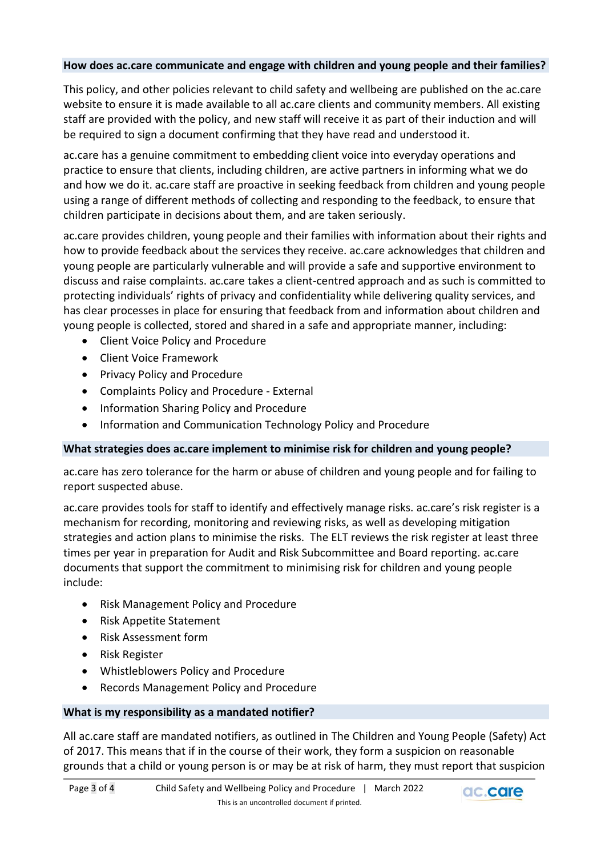## **How does ac.care communicate and engage with children and young people and their families?**

This policy, and other policies relevant to child safety and wellbeing are published on the ac.care website to ensure it is made available to all ac.care clients and community members. All existing staff are provided with the policy, and new staff will receive it as part of their induction and will be required to sign a document confirming that they have read and understood it.

ac.care has a genuine commitment to embedding client voice into everyday operations and practice to ensure that clients, including children, are active partners in informing what we do and how we do it. ac.care staff are proactive in seeking feedback from children and young people using a range of different methods of collecting and responding to the feedback, to ensure that children participate in decisions about them, and are taken seriously.

ac.care provides children, young people and their families with information about their rights and how to provide feedback about the services they receive. ac.care acknowledges that children and young people are particularly vulnerable and will provide a safe and supportive environment to discuss and raise complaints. ac.care takes a client-centred approach and as such is committed to protecting individuals' rights of privacy and confidentiality while delivering quality services, and has clear processes in place for ensuring that feedback from and information about children and young people is collected, stored and shared in a safe and appropriate manner, including:

- Client Voice Policy and Procedure
- Client Voice Framework
- Privacy Policy and Procedure
- Complaints Policy and Procedure External
- Information Sharing Policy and Procedure
- Information and Communication Technology Policy and Procedure

## **What strategies does ac.care implement to minimise risk for children and young people?**

ac.care has zero tolerance for the harm or abuse of children and young people and for failing to report suspected abuse.

ac.care provides tools for staff to identify and effectively manage risks. ac.care's risk register is a mechanism for recording, monitoring and reviewing risks, as well as developing mitigation strategies and action plans to minimise the risks. The ELT reviews the risk register at least three times per year in preparation for Audit and Risk Subcommittee and Board reporting. ac.care documents that support the commitment to minimising risk for children and young people include:

- Risk Management Policy and Procedure
- Risk Appetite Statement
- Risk Assessment form
- Risk Register
- Whistleblowers Policy and Procedure
- Records Management Policy and Procedure

## **What is my responsibility as a mandated notifier?**

All ac.care staff are mandated notifiers, as outlined in The Children and Young People (Safety) Act of 2017. This means that if in the course of their work, they form a suspicion on reasonable grounds that a child or young person is or may be at risk of harm, they must report that suspicion